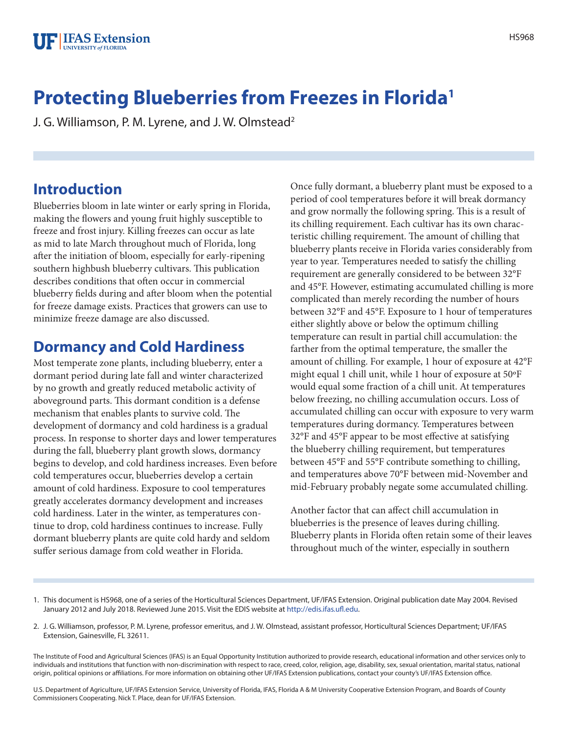# **Protecting Blueberries from Freezes in Florida1**

J. G. Williamson, P. M. Lyrene, and J. W. Olmstead<sup>2</sup>

## **Introduction**

Blueberries bloom in late winter or early spring in Florida, making the flowers and young fruit highly susceptible to freeze and frost injury. Killing freezes can occur as late as mid to late March throughout much of Florida, long after the initiation of bloom, especially for early-ripening southern highbush blueberry cultivars. This publication describes conditions that often occur in commercial blueberry fields during and after bloom when the potential for freeze damage exists. Practices that growers can use to minimize freeze damage are also discussed.

# **Dormancy and Cold Hardiness**

Most temperate zone plants, including blueberry, enter a dormant period during late fall and winter characterized by no growth and greatly reduced metabolic activity of aboveground parts. This dormant condition is a defense mechanism that enables plants to survive cold. The development of dormancy and cold hardiness is a gradual process. In response to shorter days and lower temperatures during the fall, blueberry plant growth slows, dormancy begins to develop, and cold hardiness increases. Even before cold temperatures occur, blueberries develop a certain amount of cold hardiness. Exposure to cool temperatures greatly accelerates dormancy development and increases cold hardiness. Later in the winter, as temperatures continue to drop, cold hardiness continues to increase. Fully dormant blueberry plants are quite cold hardy and seldom suffer serious damage from cold weather in Florida.

Once fully dormant, a blueberry plant must be exposed to a period of cool temperatures before it will break dormancy and grow normally the following spring. This is a result of its chilling requirement. Each cultivar has its own characteristic chilling requirement. The amount of chilling that blueberry plants receive in Florida varies considerably from year to year. Temperatures needed to satisfy the chilling requirement are generally considered to be between 32°F and 45°F. However, estimating accumulated chilling is more complicated than merely recording the number of hours between 32°F and 45°F. Exposure to 1 hour of temperatures either slightly above or below the optimum chilling temperature can result in partial chill accumulation: the farther from the optimal temperature, the smaller the amount of chilling. For example, 1 hour of exposure at 42°F might equal 1 chill unit, while 1 hour of exposure at 50ºF would equal some fraction of a chill unit. At temperatures below freezing, no chilling accumulation occurs. Loss of accumulated chilling can occur with exposure to very warm temperatures during dormancy. Temperatures between 32°F and 45°F appear to be most effective at satisfying the blueberry chilling requirement, but temperatures between 45°F and 55°F contribute something to chilling, and temperatures above 70°F between mid-November and mid-February probably negate some accumulated chilling.

Another factor that can affect chill accumulation in blueberries is the presence of leaves during chilling. Blueberry plants in Florida often retain some of their leaves throughout much of the winter, especially in southern

- 1. This document is HS968, one of a series of the Horticultural Sciences Department, UF/IFAS Extension. Original publication date May 2004. Revised January 2012 and July 2018. Reviewed June 2015. Visit the EDIS website at http://edis.ifas.ufl.edu.
- 2. J. G. Williamson, professor, P. M. Lyrene, professor emeritus, and J. W. Olmstead, assistant professor, Horticultural Sciences Department; UF/IFAS Extension, Gainesville, FL 32611.

The Institute of Food and Agricultural Sciences (IFAS) is an Equal Opportunity Institution authorized to provide research, educational information and other services only to individuals and institutions that function with non-discrimination with respect to race, creed, color, religion, age, disability, sex, sexual orientation, marital status, national origin, political opinions or affiliations. For more information on obtaining other UF/IFAS Extension publications, contact your county's UF/IFAS Extension office.

U.S. Department of Agriculture, UF/IFAS Extension Service, University of Florida, IFAS, Florida A & M University Cooperative Extension Program, and Boards of County Commissioners Cooperating. Nick T. Place, dean for UF/IFAS Extension.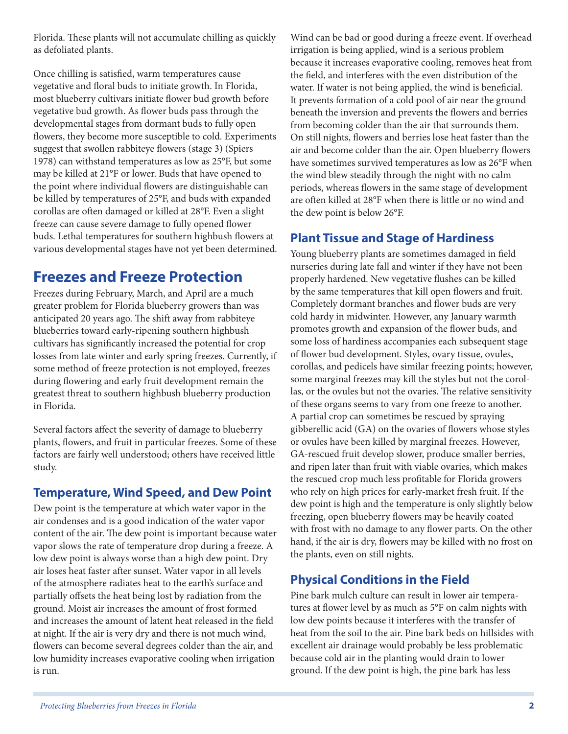Florida. These plants will not accumulate chilling as quickly as defoliated plants.

Once chilling is satisfied, warm temperatures cause vegetative and floral buds to initiate growth. In Florida, most blueberry cultivars initiate flower bud growth before vegetative bud growth. As flower buds pass through the developmental stages from dormant buds to fully open flowers, they become more susceptible to cold. Experiments suggest that swollen rabbiteye flowers (stage 3) (Spiers 1978) can withstand temperatures as low as 25°F, but some may be killed at 21°F or lower. Buds that have opened to the point where individual flowers are distinguishable can be killed by temperatures of 25°F, and buds with expanded corollas are often damaged or killed at 28°F. Even a slight freeze can cause severe damage to fully opened flower buds. Lethal temperatures for southern highbush flowers at various developmental stages have not yet been determined.

# **Freezes and Freeze Protection**

Freezes during February, March, and April are a much greater problem for Florida blueberry growers than was anticipated 20 years ago. The shift away from rabbiteye blueberries toward early-ripening southern highbush cultivars has significantly increased the potential for crop losses from late winter and early spring freezes. Currently, if some method of freeze protection is not employed, freezes during flowering and early fruit development remain the greatest threat to southern highbush blueberry production in Florida.

Several factors affect the severity of damage to blueberry plants, flowers, and fruit in particular freezes. Some of these factors are fairly well understood; others have received little study.

### **Temperature, Wind Speed, and Dew Point**

Dew point is the temperature at which water vapor in the air condenses and is a good indication of the water vapor content of the air. The dew point is important because water vapor slows the rate of temperature drop during a freeze. A low dew point is always worse than a high dew point. Dry air loses heat faster after sunset. Water vapor in all levels of the atmosphere radiates heat to the earth's surface and partially offsets the heat being lost by radiation from the ground. Moist air increases the amount of frost formed and increases the amount of latent heat released in the field at night. If the air is very dry and there is not much wind, flowers can become several degrees colder than the air, and low humidity increases evaporative cooling when irrigation is run.

Wind can be bad or good during a freeze event. If overhead irrigation is being applied, wind is a serious problem because it increases evaporative cooling, removes heat from the field, and interferes with the even distribution of the water. If water is not being applied, the wind is beneficial. It prevents formation of a cold pool of air near the ground beneath the inversion and prevents the flowers and berries from becoming colder than the air that surrounds them. On still nights, flowers and berries lose heat faster than the air and become colder than the air. Open blueberry flowers have sometimes survived temperatures as low as 26°F when the wind blew steadily through the night with no calm periods, whereas flowers in the same stage of development are often killed at 28°F when there is little or no wind and the dew point is below 26°F.

### **Plant Tissue and Stage of Hardiness**

Young blueberry plants are sometimes damaged in field nurseries during late fall and winter if they have not been properly hardened. New vegetative flushes can be killed by the same temperatures that kill open flowers and fruit. Completely dormant branches and flower buds are very cold hardy in midwinter. However, any January warmth promotes growth and expansion of the flower buds, and some loss of hardiness accompanies each subsequent stage of flower bud development. Styles, ovary tissue, ovules, corollas, and pedicels have similar freezing points; however, some marginal freezes may kill the styles but not the corollas, or the ovules but not the ovaries. The relative sensitivity of these organs seems to vary from one freeze to another. A partial crop can sometimes be rescued by spraying gibberellic acid (GA) on the ovaries of flowers whose styles or ovules have been killed by marginal freezes. However, GA-rescued fruit develop slower, produce smaller berries, and ripen later than fruit with viable ovaries, which makes the rescued crop much less profitable for Florida growers who rely on high prices for early-market fresh fruit. If the dew point is high and the temperature is only slightly below freezing, open blueberry flowers may be heavily coated with frost with no damage to any flower parts. On the other hand, if the air is dry, flowers may be killed with no frost on the plants, even on still nights.

### **Physical Conditions in the Field**

Pine bark mulch culture can result in lower air temperatures at flower level by as much as 5°F on calm nights with low dew points because it interferes with the transfer of heat from the soil to the air. Pine bark beds on hillsides with excellent air drainage would probably be less problematic because cold air in the planting would drain to lower ground. If the dew point is high, the pine bark has less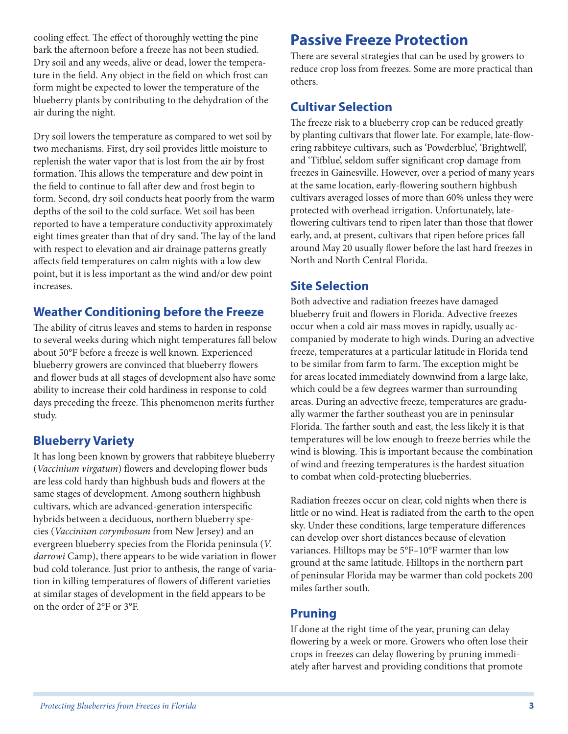cooling effect. The effect of thoroughly wetting the pine bark the afternoon before a freeze has not been studied. Dry soil and any weeds, alive or dead, lower the temperature in the field. Any object in the field on which frost can form might be expected to lower the temperature of the blueberry plants by contributing to the dehydration of the air during the night.

Dry soil lowers the temperature as compared to wet soil by two mechanisms. First, dry soil provides little moisture to replenish the water vapor that is lost from the air by frost formation. This allows the temperature and dew point in the field to continue to fall after dew and frost begin to form. Second, dry soil conducts heat poorly from the warm depths of the soil to the cold surface. Wet soil has been reported to have a temperature conductivity approximately eight times greater than that of dry sand. The lay of the land with respect to elevation and air drainage patterns greatly affects field temperatures on calm nights with a low dew point, but it is less important as the wind and/or dew point increases.

#### **Weather Conditioning before the Freeze**

The ability of citrus leaves and stems to harden in response to several weeks during which night temperatures fall below about 50°F before a freeze is well known. Experienced blueberry growers are convinced that blueberry flowers and flower buds at all stages of development also have some ability to increase their cold hardiness in response to cold days preceding the freeze. This phenomenon merits further study.

#### **Blueberry Variety**

It has long been known by growers that rabbiteye blueberry (*Vaccinium virgatum*) flowers and developing flower buds are less cold hardy than highbush buds and flowers at the same stages of development. Among southern highbush cultivars, which are advanced-generation interspecific hybrids between a deciduous, northern blueberry species (*Vaccinium corymbosum* from New Jersey) and an evergreen blueberry species from the Florida peninsula (*V. darrowi* Camp), there appears to be wide variation in flower bud cold tolerance. Just prior to anthesis, the range of variation in killing temperatures of flowers of different varieties at similar stages of development in the field appears to be on the order of 2°F or 3°F.

# **Passive Freeze Protection**

There are several strategies that can be used by growers to reduce crop loss from freezes. Some are more practical than others.

### **Cultivar Selection**

The freeze risk to a blueberry crop can be reduced greatly by planting cultivars that flower late. For example, late-flowering rabbiteye cultivars, such as 'Powderblue', 'Brightwell', and 'Tifblue', seldom suffer significant crop damage from freezes in Gainesville. However, over a period of many years at the same location, early-flowering southern highbush cultivars averaged losses of more than 60% unless they were protected with overhead irrigation. Unfortunately, lateflowering cultivars tend to ripen later than those that flower early, and, at present, cultivars that ripen before prices fall around May 20 usually flower before the last hard freezes in North and North Central Florida.

#### **Site Selection**

Both advective and radiation freezes have damaged blueberry fruit and flowers in Florida. Advective freezes occur when a cold air mass moves in rapidly, usually accompanied by moderate to high winds. During an advective freeze, temperatures at a particular latitude in Florida tend to be similar from farm to farm. The exception might be for areas located immediately downwind from a large lake, which could be a few degrees warmer than surrounding areas. During an advective freeze, temperatures are gradually warmer the farther southeast you are in peninsular Florida. The farther south and east, the less likely it is that temperatures will be low enough to freeze berries while the wind is blowing. This is important because the combination of wind and freezing temperatures is the hardest situation to combat when cold-protecting blueberries.

Radiation freezes occur on clear, cold nights when there is little or no wind. Heat is radiated from the earth to the open sky. Under these conditions, large temperature differences can develop over short distances because of elevation variances. Hilltops may be 5°F–10°F warmer than low ground at the same latitude. Hilltops in the northern part of peninsular Florida may be warmer than cold pockets 200 miles farther south.

#### **Pruning**

If done at the right time of the year, pruning can delay flowering by a week or more. Growers who often lose their crops in freezes can delay flowering by pruning immediately after harvest and providing conditions that promote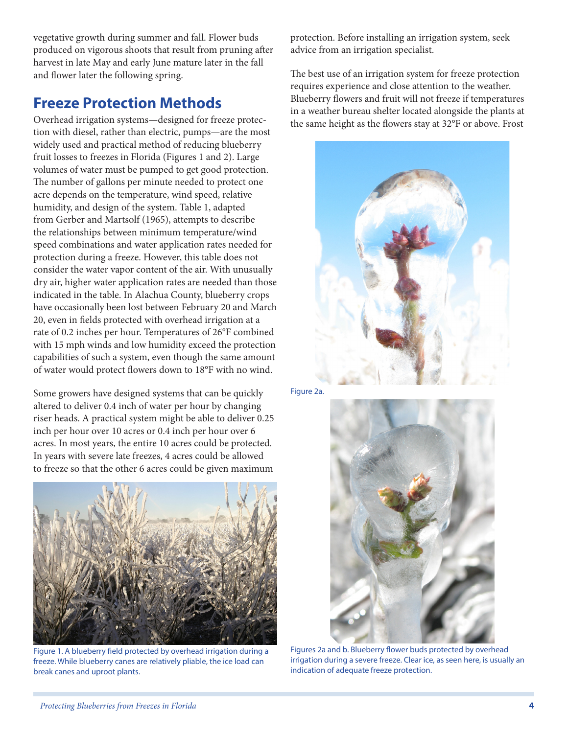vegetative growth during summer and fall. Flower buds produced on vigorous shoots that result from pruning after harvest in late May and early June mature later in the fall and flower later the following spring.

# **Freeze Protection Methods**

Overhead irrigation systems—designed for freeze protection with diesel, rather than electric, pumps—are the most widely used and practical method of reducing blueberry fruit losses to freezes in Florida (Figures 1 and 2). Large volumes of water must be pumped to get good protection. The number of gallons per minute needed to protect one acre depends on the temperature, wind speed, relative humidity, and design of the system. Table 1, adapted from Gerber and Martsolf (1965), attempts to describe the relationships between minimum temperature/wind speed combinations and water application rates needed for protection during a freeze. However, this table does not consider the water vapor content of the air. With unusually dry air, higher water application rates are needed than those indicated in the table. In Alachua County, blueberry crops have occasionally been lost between February 20 and March 20, even in fields protected with overhead irrigation at a rate of 0.2 inches per hour. Temperatures of 26°F combined with 15 mph winds and low humidity exceed the protection capabilities of such a system, even though the same amount of water would protect flowers down to 18°F with no wind.

Some growers have designed systems that can be quickly altered to deliver 0.4 inch of water per hour by changing riser heads. A practical system might be able to deliver 0.25 inch per hour over 10 acres or 0.4 inch per hour over 6 acres. In most years, the entire 10 acres could be protected. In years with severe late freezes, 4 acres could be allowed to freeze so that the other 6 acres could be given maximum



Figure 1. A blueberry field protected by overhead irrigation during a freeze. While blueberry canes are relatively pliable, the ice load can break canes and uproot plants.

protection. Before installing an irrigation system, seek advice from an irrigation specialist.

The best use of an irrigation system for freeze protection requires experience and close attention to the weather. Blueberry flowers and fruit will not freeze if temperatures in a weather bureau shelter located alongside the plants at the same height as the flowers stay at 32°F or above. Frost



Figure 2a.



Figures 2a and b. Blueberry flower buds protected by overhead irrigation during a severe freeze. Clear ice, as seen here, is usually an indication of adequate freeze protection.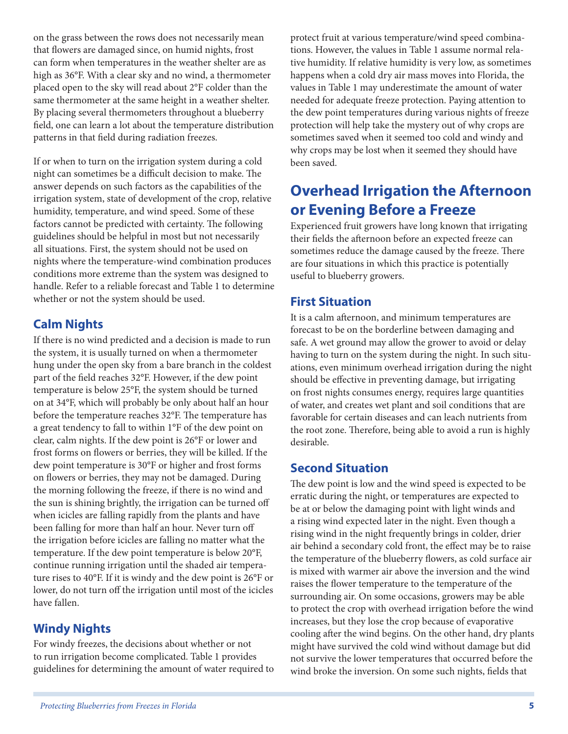on the grass between the rows does not necessarily mean that flowers are damaged since, on humid nights, frost can form when temperatures in the weather shelter are as high as 36°F. With a clear sky and no wind, a thermometer placed open to the sky will read about 2°F colder than the same thermometer at the same height in a weather shelter. By placing several thermometers throughout a blueberry field, one can learn a lot about the temperature distribution patterns in that field during radiation freezes.

If or when to turn on the irrigation system during a cold night can sometimes be a difficult decision to make. The answer depends on such factors as the capabilities of the irrigation system, state of development of the crop, relative humidity, temperature, and wind speed. Some of these factors cannot be predicted with certainty. The following guidelines should be helpful in most but not necessarily all situations. First, the system should not be used on nights where the temperature-wind combination produces conditions more extreme than the system was designed to handle. Refer to a reliable forecast and Table 1 to determine whether or not the system should be used.

### **Calm Nights**

If there is no wind predicted and a decision is made to run the system, it is usually turned on when a thermometer hung under the open sky from a bare branch in the coldest part of the field reaches 32°F. However, if the dew point temperature is below 25°F, the system should be turned on at 34°F, which will probably be only about half an hour before the temperature reaches 32°F. The temperature has a great tendency to fall to within 1°F of the dew point on clear, calm nights. If the dew point is 26°F or lower and frost forms on flowers or berries, they will be killed. If the dew point temperature is 30°F or higher and frost forms on flowers or berries, they may not be damaged. During the morning following the freeze, if there is no wind and the sun is shining brightly, the irrigation can be turned off when icicles are falling rapidly from the plants and have been falling for more than half an hour. Never turn off the irrigation before icicles are falling no matter what the temperature. If the dew point temperature is below 20°F, continue running irrigation until the shaded air temperature rises to 40°F. If it is windy and the dew point is 26°F or lower, do not turn off the irrigation until most of the icicles have fallen.

#### **Windy Nights**

For windy freezes, the decisions about whether or not to run irrigation become complicated. Table 1 provides guidelines for determining the amount of water required to protect fruit at various temperature/wind speed combinations. However, the values in Table 1 assume normal relative humidity. If relative humidity is very low, as sometimes happens when a cold dry air mass moves into Florida, the values in Table 1 may underestimate the amount of water needed for adequate freeze protection. Paying attention to the dew point temperatures during various nights of freeze protection will help take the mystery out of why crops are sometimes saved when it seemed too cold and windy and why crops may be lost when it seemed they should have been saved.

# **Overhead Irrigation the Afternoon or Evening Before a Freeze**

Experienced fruit growers have long known that irrigating their fields the afternoon before an expected freeze can sometimes reduce the damage caused by the freeze. There are four situations in which this practice is potentially useful to blueberry growers.

### **First Situation**

It is a calm afternoon, and minimum temperatures are forecast to be on the borderline between damaging and safe. A wet ground may allow the grower to avoid or delay having to turn on the system during the night. In such situations, even minimum overhead irrigation during the night should be effective in preventing damage, but irrigating on frost nights consumes energy, requires large quantities of water, and creates wet plant and soil conditions that are favorable for certain diseases and can leach nutrients from the root zone. Therefore, being able to avoid a run is highly desirable.

#### **Second Situation**

The dew point is low and the wind speed is expected to be erratic during the night, or temperatures are expected to be at or below the damaging point with light winds and a rising wind expected later in the night. Even though a rising wind in the night frequently brings in colder, drier air behind a secondary cold front, the effect may be to raise the temperature of the blueberry flowers, as cold surface air is mixed with warmer air above the inversion and the wind raises the flower temperature to the temperature of the surrounding air. On some occasions, growers may be able to protect the crop with overhead irrigation before the wind increases, but they lose the crop because of evaporative cooling after the wind begins. On the other hand, dry plants might have survived the cold wind without damage but did not survive the lower temperatures that occurred before the wind broke the inversion. On some such nights, fields that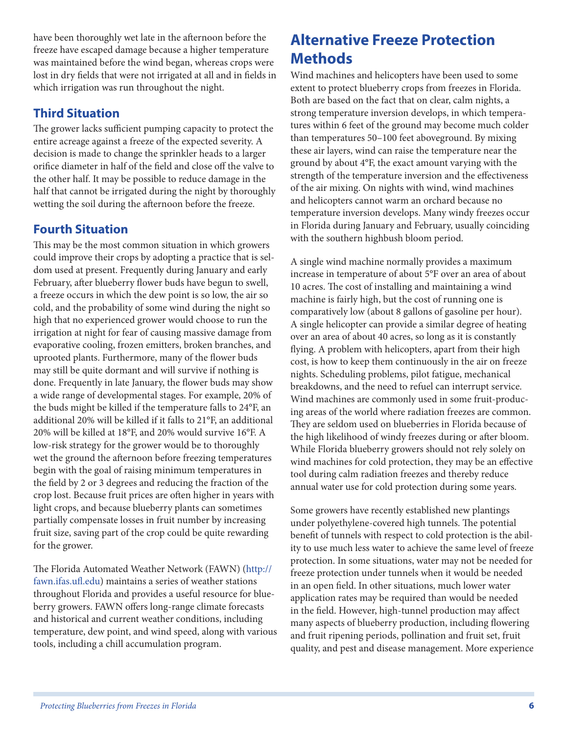have been thoroughly wet late in the afternoon before the freeze have escaped damage because a higher temperature was maintained before the wind began, whereas crops were lost in dry fields that were not irrigated at all and in fields in which irrigation was run throughout the night.

### **Third Situation**

The grower lacks sufficient pumping capacity to protect the entire acreage against a freeze of the expected severity. A decision is made to change the sprinkler heads to a larger orifice diameter in half of the field and close off the valve to the other half. It may be possible to reduce damage in the half that cannot be irrigated during the night by thoroughly wetting the soil during the afternoon before the freeze.

### **Fourth Situation**

This may be the most common situation in which growers could improve their crops by adopting a practice that is seldom used at present. Frequently during January and early February, after blueberry flower buds have begun to swell, a freeze occurs in which the dew point is so low, the air so cold, and the probability of some wind during the night so high that no experienced grower would choose to run the irrigation at night for fear of causing massive damage from evaporative cooling, frozen emitters, broken branches, and uprooted plants. Furthermore, many of the flower buds may still be quite dormant and will survive if nothing is done. Frequently in late January, the flower buds may show a wide range of developmental stages. For example, 20% of the buds might be killed if the temperature falls to 24°F, an additional 20% will be killed if it falls to 21°F, an additional 20% will be killed at 18°F, and 20% would survive 16°F. A low-risk strategy for the grower would be to thoroughly wet the ground the afternoon before freezing temperatures begin with the goal of raising minimum temperatures in the field by 2 or 3 degrees and reducing the fraction of the crop lost. Because fruit prices are often higher in years with light crops, and because blueberry plants can sometimes partially compensate losses in fruit number by increasing fruit size, saving part of the crop could be quite rewarding for the grower.

The Florida Automated Weather Network (FAWN) (http:// fawn.ifas.ufl.edu) maintains a series of weather stations throughout Florida and provides a useful resource for blueberry growers. FAWN offers long-range climate forecasts and historical and current weather conditions, including temperature, dew point, and wind speed, along with various tools, including a chill accumulation program.

# **Alternative Freeze Protection Methods**

Wind machines and helicopters have been used to some extent to protect blueberry crops from freezes in Florida. Both are based on the fact that on clear, calm nights, a strong temperature inversion develops, in which temperatures within 6 feet of the ground may become much colder than temperatures 50–100 feet aboveground. By mixing these air layers, wind can raise the temperature near the ground by about 4°F, the exact amount varying with the strength of the temperature inversion and the effectiveness of the air mixing. On nights with wind, wind machines and helicopters cannot warm an orchard because no temperature inversion develops. Many windy freezes occur in Florida during January and February, usually coinciding with the southern highbush bloom period.

A single wind machine normally provides a maximum increase in temperature of about 5°F over an area of about 10 acres. The cost of installing and maintaining a wind machine is fairly high, but the cost of running one is comparatively low (about 8 gallons of gasoline per hour). A single helicopter can provide a similar degree of heating over an area of about 40 acres, so long as it is constantly flying. A problem with helicopters, apart from their high cost, is how to keep them continuously in the air on freeze nights. Scheduling problems, pilot fatigue, mechanical breakdowns, and the need to refuel can interrupt service. Wind machines are commonly used in some fruit-producing areas of the world where radiation freezes are common. They are seldom used on blueberries in Florida because of the high likelihood of windy freezes during or after bloom. While Florida blueberry growers should not rely solely on wind machines for cold protection, they may be an effective tool during calm radiation freezes and thereby reduce annual water use for cold protection during some years.

Some growers have recently established new plantings under polyethylene-covered high tunnels. The potential benefit of tunnels with respect to cold protection is the ability to use much less water to achieve the same level of freeze protection. In some situations, water may not be needed for freeze protection under tunnels when it would be needed in an open field. In other situations, much lower water application rates may be required than would be needed in the field. However, high-tunnel production may affect many aspects of blueberry production, including flowering and fruit ripening periods, pollination and fruit set, fruit quality, and pest and disease management. More experience